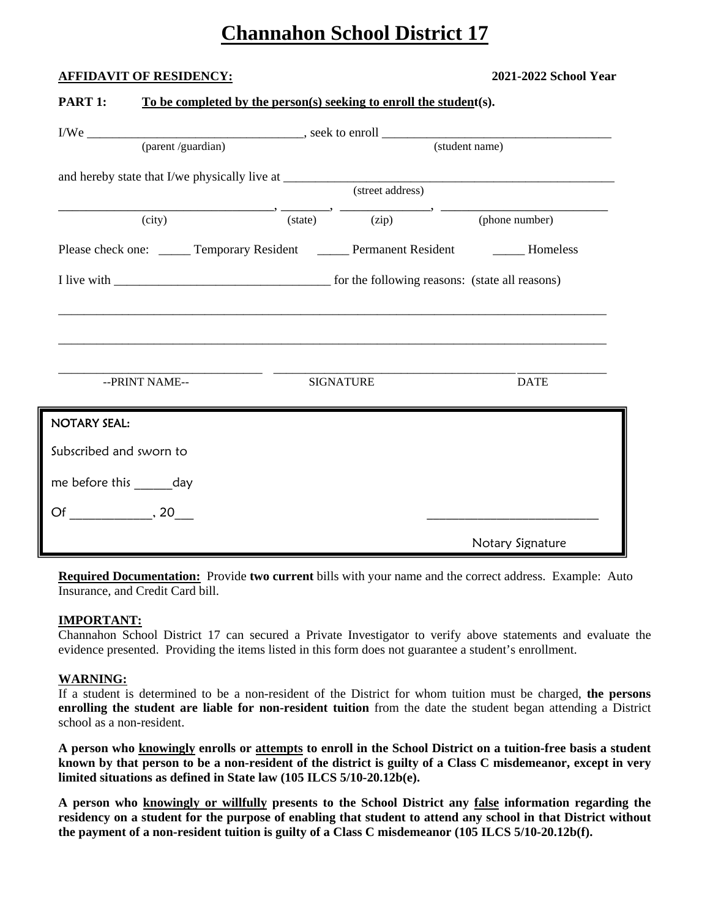# **Channahon School District 17**

# **AFFIDAVIT OF RESIDENCY: 2021-2022 School Year**

| (parent /guardian)                                                                 |  | (student name)                                                                                                                                                   |                  |  |  |
|------------------------------------------------------------------------------------|--|------------------------------------------------------------------------------------------------------------------------------------------------------------------|------------------|--|--|
|                                                                                    |  |                                                                                                                                                                  |                  |  |  |
|                                                                                    |  | (street address)                                                                                                                                                 |                  |  |  |
| (city)                                                                             |  | $\longrightarrow$ $\overrightarrow{(\text{state})}$ $\longrightarrow$ $\overrightarrow{(\text{zip})}$ $\longrightarrow$ $\overrightarrow{(\text{phone number})}$ |                  |  |  |
| Please check one: _____ Temporary Resident _____ Permanent Resident _____ Homeless |  |                                                                                                                                                                  |                  |  |  |
|                                                                                    |  |                                                                                                                                                                  |                  |  |  |
|                                                                                    |  |                                                                                                                                                                  |                  |  |  |
|                                                                                    |  |                                                                                                                                                                  |                  |  |  |
|                                                                                    |  |                                                                                                                                                                  |                  |  |  |
| --PRINT NAME--                                                                     |  | <b>SIGNATURE</b>                                                                                                                                                 | <b>DATE</b>      |  |  |
| NOTARY SEAL:                                                                       |  |                                                                                                                                                                  |                  |  |  |
|                                                                                    |  |                                                                                                                                                                  |                  |  |  |
| Subscribed and sworn to                                                            |  |                                                                                                                                                                  |                  |  |  |
| me before this ______day                                                           |  |                                                                                                                                                                  |                  |  |  |
| $\mathsf{Of} \hspace{0.5cm} 20$                                                    |  |                                                                                                                                                                  |                  |  |  |
|                                                                                    |  |                                                                                                                                                                  | Notary Signature |  |  |

**PART 1:** To be completed by the person(s) seeking to enroll the student(s).

**Required Documentation:** Provide **two current** bills with your name and the correct address. Example: Auto Insurance, and Credit Card bill.

# **IMPORTANT:**

Channahon School District 17 can secured a Private Investigator to verify above statements and evaluate the evidence presented. Providing the items listed in this form does not guarantee a student's enrollment.

# **WARNING:**

If a student is determined to be a non-resident of the District for whom tuition must be charged, **the persons enrolling the student are liable for non-resident tuition** from the date the student began attending a District school as a non-resident.

**A person who knowingly enrolls or attempts to enroll in the School District on a tuition-free basis a student known by that person to be a non-resident of the district is guilty of a Class C misdemeanor, except in very limited situations as defined in State law (105 ILCS 5/10-20.12b(e).** 

**A person who knowingly or willfully presents to the School District any false information regarding the residency on a student for the purpose of enabling that student to attend any school in that District without the payment of a non-resident tuition is guilty of a Class C misdemeanor (105 ILCS 5/10-20.12b(f).**